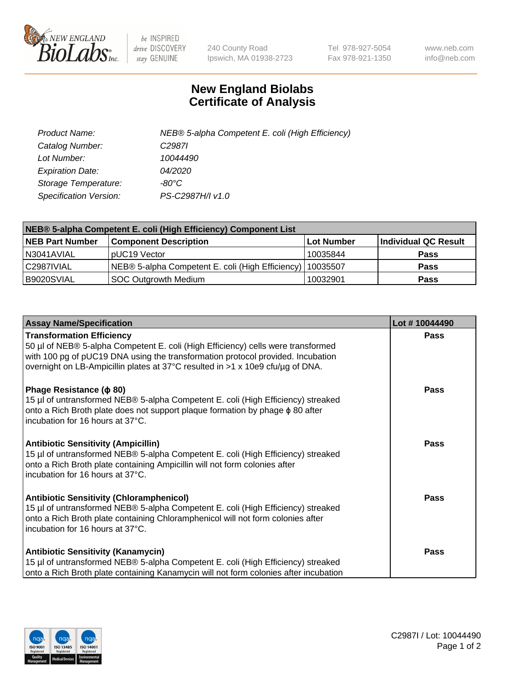

 $be$  INSPIRED drive DISCOVERY stay GENUINE

240 County Road Ipswich, MA 01938-2723 Tel 978-927-5054 Fax 978-921-1350 www.neb.com info@neb.com

## **New England Biolabs Certificate of Analysis**

| Product Name:           | NEB® 5-alpha Competent E. coli (High Efficiency) |
|-------------------------|--------------------------------------------------|
| Catalog Number:         | C <sub>2987</sub>                                |
| Lot Number:             | 10044490                                         |
| <b>Expiration Date:</b> | <i>04/2020</i>                                   |
| Storage Temperature:    | -80°C                                            |
| Specification Version:  | PS-C2987H/I v1.0                                 |

| NEB® 5-alpha Competent E. coli (High Efficiency) Component List |                                                  |            |                      |  |
|-----------------------------------------------------------------|--------------------------------------------------|------------|----------------------|--|
| <b>NEB Part Number</b>                                          | <b>Component Description</b>                     | Lot Number | Individual QC Result |  |
| N3041AVIAL                                                      | pUC19 Vector                                     | 10035844   | <b>Pass</b>          |  |
| C2987IVIAL                                                      | NEB® 5-alpha Competent E. coli (High Efficiency) | l 10035507 | <b>Pass</b>          |  |
| B9020SVIAL                                                      | SOC Outgrowth Medium                             | 10032901   | <b>Pass</b>          |  |

| <b>Assay Name/Specification</b>                                                                                                                                                                                                                                                           | Lot #10044490 |
|-------------------------------------------------------------------------------------------------------------------------------------------------------------------------------------------------------------------------------------------------------------------------------------------|---------------|
| <b>Transformation Efficiency</b><br>50 µl of NEB® 5-alpha Competent E. coli (High Efficiency) cells were transformed<br>with 100 pg of pUC19 DNA using the transformation protocol provided. Incubation<br>overnight on LB-Ampicillin plates at 37°C resulted in >1 x 10e9 cfu/µg of DNA. | Pass          |
| Phage Resistance ( $\phi$ 80)<br>15 µl of untransformed NEB® 5-alpha Competent E. coli (High Efficiency) streaked<br>onto a Rich Broth plate does not support plaque formation by phage $\phi$ 80 after<br>incubation for 16 hours at 37°C.                                               | <b>Pass</b>   |
| <b>Antibiotic Sensitivity (Ampicillin)</b><br>15 µl of untransformed NEB® 5-alpha Competent E. coli (High Efficiency) streaked<br>onto a Rich Broth plate containing Ampicillin will not form colonies after<br>incubation for 16 hours at 37°C.                                          | <b>Pass</b>   |
| <b>Antibiotic Sensitivity (Chloramphenicol)</b><br>15 µl of untransformed NEB® 5-alpha Competent E. coli (High Efficiency) streaked<br>onto a Rich Broth plate containing Chloramphenicol will not form colonies after<br>incubation for 16 hours at 37°C.                                | Pass          |
| <b>Antibiotic Sensitivity (Kanamycin)</b><br>15 µl of untransformed NEB® 5-alpha Competent E. coli (High Efficiency) streaked<br>onto a Rich Broth plate containing Kanamycin will not form colonies after incubation                                                                     | <b>Pass</b>   |